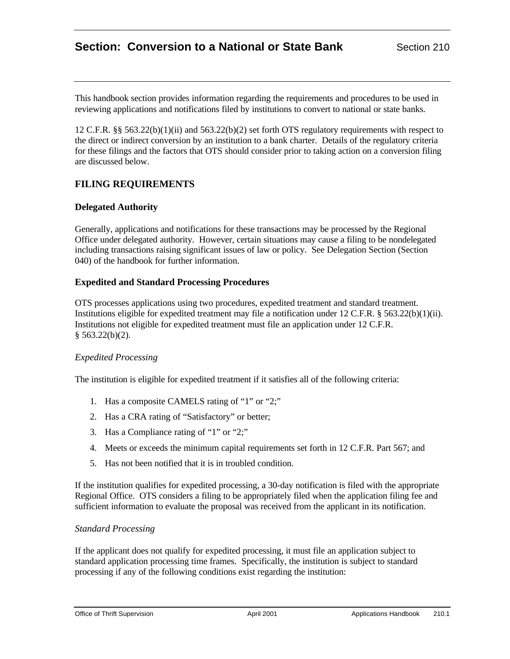# **Section: Conversion to a National or State Bank** Section 210

This handbook section provides information regarding the requirements and procedures to be used in reviewing applications and notifications filed by institutions to convert to national or state banks.

12 C.F.R. §§ 563.22(b)(1)(ii) and 563.22(b)(2) set forth OTS regulatory requirements with respect to the direct or indirect conversion by an institution to a bank charter. Details of the regulatory criteria for these filings and the factors that OTS should consider prior to taking action on a conversion filing are discussed below.

# **FILING REQUIREMENTS**

### **Delegated Authority**

Generally, applications and notifications for these transactions may be processed by the Regional Office under delegated authority. However, certain situations may cause a filing to be nondelegated including transactions raising significant issues of law or policy. See Delegation Section (Section 040) of the handbook for further information.

### **Expedited and Standard Processing Procedures**

OTS processes applications using two procedures, expedited treatment and standard treatment. Institutions eligible for expedited treatment may file a notification under 12 C.F.R. § 563.22(b)(1)(ii). Institutions not eligible for expedited treatment must file an application under 12 C.F.R.  $§$  563.22(b)(2).

### *Expedited Processing*

The institution is eligible for expedited treatment if it satisfies all of the following criteria:

- 1. Has a composite CAMELS rating of "1" or "2;"
- 2. Has a CRA rating of "Satisfactory" or better;
- 3. Has a Compliance rating of "1" or "2;"
- 4. Meets or exceeds the minimum capital requirements set forth in 12 C.F.R. Part 567; and
- 5. Has not been notified that it is in troubled condition.

If the institution qualifies for expedited processing, a 30-day notification is filed with the appropriate Regional Office. OTS considers a filing to be appropriately filed when the application filing fee and sufficient information to evaluate the proposal was received from the applicant in its notification.

### *Standard Processing*

If the applicant does not qualify for expedited processing, it must file an application subject to standard application processing time frames. Specifically, the institution is subject to standard processing if any of the following conditions exist regarding the institution: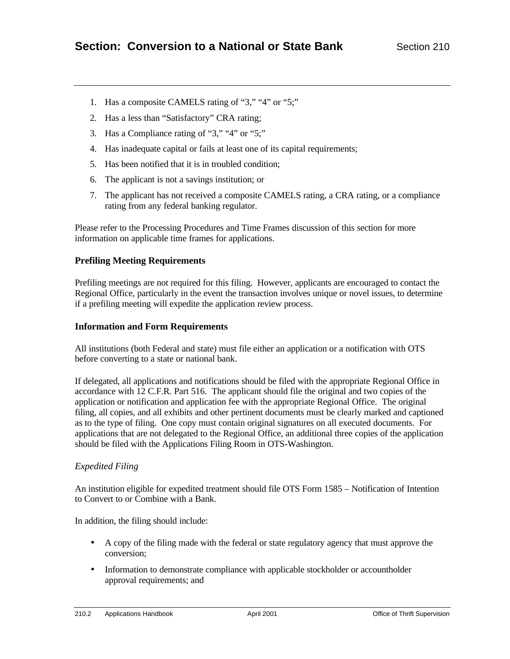- 1. Has a composite CAMELS rating of "3," "4" or "5;"
- 2. Has a less than "Satisfactory" CRA rating;
- 3. Has a Compliance rating of "3," "4" or "5;"
- 4. Has inadequate capital or fails at least one of its capital requirements;
- 5. Has been notified that it is in troubled condition;
- 6. The applicant is not a savings institution; or
- 7. The applicant has not received a composite CAMELS rating, a CRA rating, or a compliance rating from any federal banking regulator.

Please refer to the Processing Procedures and Time Frames discussion of this section for more information on applicable time frames for applications.

# **Prefiling Meeting Requirements**

Prefiling meetings are not required for this filing. However, applicants are encouraged to contact the Regional Office, particularly in the event the transaction involves unique or novel issues, to determine if a prefiling meeting will expedite the application review process.

### **Information and Form Requirements**

All institutions (both Federal and state) must file either an application or a notification with OTS before converting to a state or national bank.

If delegated, all applications and notifications should be filed with the appropriate Regional Office in accordance with 12 C.F.R. Part 516. The applicant should file the original and two copies of the application or notification and application fee with the appropriate Regional Office. The original filing, all copies, and all exhibits and other pertinent documents must be clearly marked and captioned as to the type of filing. One copy must contain original signatures on all executed documents. For applications that are not delegated to the Regional Office, an additional three copies of the application should be filed with the Applications Filing Room in OTS-Washington.

# *Expedited Filing*

An institution eligible for expedited treatment should file OTS Form 1585 – Notification of Intention to Convert to or Combine with a Bank.

In addition, the filing should include:

- A copy of the filing made with the federal or state regulatory agency that must approve the conversion;
- Information to demonstrate compliance with applicable stockholder or accountholder approval requirements; and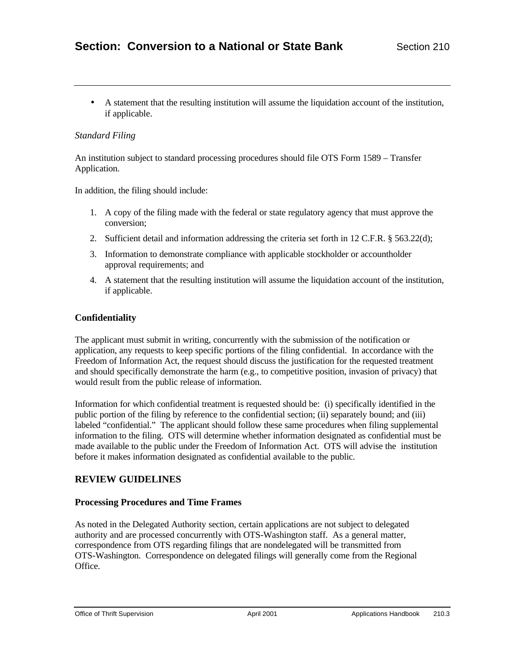• A statement that the resulting institution will assume the liquidation account of the institution, if applicable.

# *Standard Filing*

An institution subject to standard processing procedures should file OTS Form 1589 – Transfer Application.

In addition, the filing should include:

- 1. A copy of the filing made with the federal or state regulatory agency that must approve the conversion;
- 2. Sufficient detail and information addressing the criteria set forth in 12 C.F.R. § 563.22(d);
- 3. Information to demonstrate compliance with applicable stockholder or accountholder approval requirements; and
- 4. A statement that the resulting institution will assume the liquidation account of the institution, if applicable.

# **Confidentiality**

The applicant must submit in writing, concurrently with the submission of the notification or application, any requests to keep specific portions of the filing confidential. In accordance with the Freedom of Information Act, the request should discuss the justification for the requested treatment and should specifically demonstrate the harm (e.g., to competitive position, invasion of privacy) that would result from the public release of information.

Information for which confidential treatment is requested should be: (i) specifically identified in the public portion of the filing by reference to the confidential section; (ii) separately bound; and (iii) labeled "confidential." The applicant should follow these same procedures when filing supplemental information to the filing. OTS will determine whether information designated as confidential must be made available to the public under the Freedom of Information Act. OTS will advise the institution before it makes information designated as confidential available to the public.

# **REVIEW GUIDELINES**

# **Processing Procedures and Time Frames**

As noted in the Delegated Authority section, certain applications are not subject to delegated authority and are processed concurrently with OTS-Washington staff. As a general matter, correspondence from OTS regarding filings that are nondelegated will be transmitted from OTS-Washington. Correspondence on delegated filings will generally come from the Regional Office.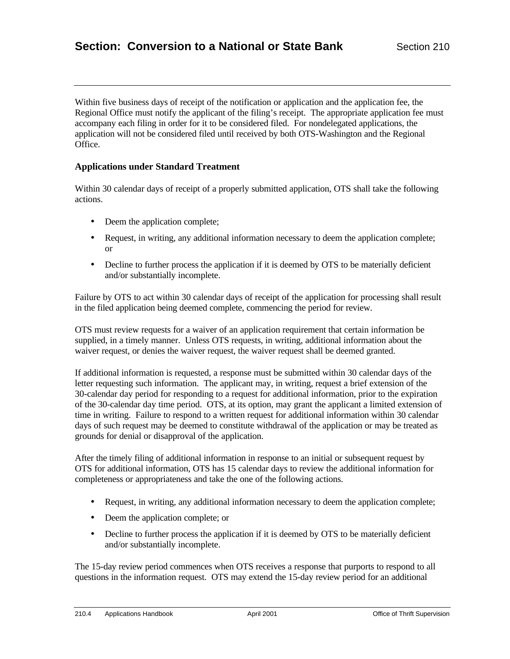Within five business days of receipt of the notification or application and the application fee, the Regional Office must notify the applicant of the filing's receipt. The appropriate application fee must accompany each filing in order for it to be considered filed. For nondelegated applications, the application will not be considered filed until received by both OTS-Washington and the Regional Office.

### **Applications under Standard Treatment**

Within 30 calendar days of receipt of a properly submitted application, OTS shall take the following actions.

- Deem the application complete;
- Request, in writing, any additional information necessary to deem the application complete; or
- Decline to further process the application if it is deemed by OTS to be materially deficient and/or substantially incomplete.

Failure by OTS to act within 30 calendar days of receipt of the application for processing shall result in the filed application being deemed complete, commencing the period for review.

OTS must review requests for a waiver of an application requirement that certain information be supplied, in a timely manner. Unless OTS requests, in writing, additional information about the waiver request, or denies the waiver request, the waiver request shall be deemed granted.

If additional information is requested, a response must be submitted within 30 calendar days of the letter requesting such information. The applicant may, in writing, request a brief extension of the 30-calendar day period for responding to a request for additional information, prior to the expiration of the 30-calendar day time period. OTS, at its option, may grant the applicant a limited extension of time in writing. Failure to respond to a written request for additional information within 30 calendar days of such request may be deemed to constitute withdrawal of the application or may be treated as grounds for denial or disapproval of the application.

After the timely filing of additional information in response to an initial or subsequent request by OTS for additional information, OTS has 15 calendar days to review the additional information for completeness or appropriateness and take the one of the following actions.

- Request, in writing, any additional information necessary to deem the application complete;
- Deem the application complete; or
- Decline to further process the application if it is deemed by OTS to be materially deficient and/or substantially incomplete.

The 15-day review period commences when OTS receives a response that purports to respond to all questions in the information request. OTS may extend the 15-day review period for an additional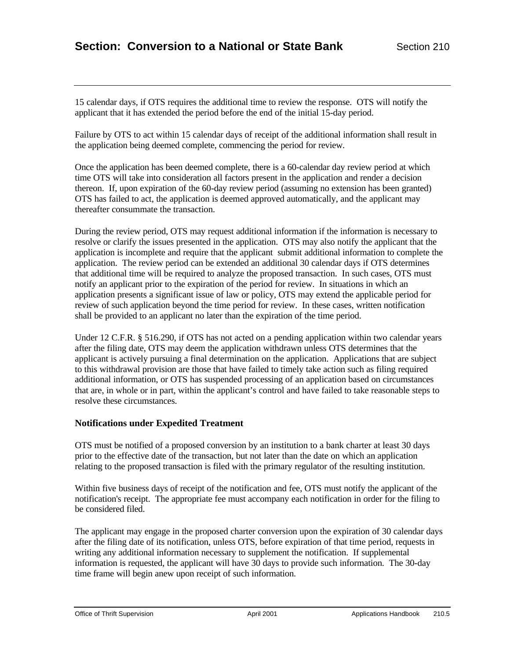15 calendar days, if OTS requires the additional time to review the response. OTS will notify the applicant that it has extended the period before the end of the initial 15-day period.

Failure by OTS to act within 15 calendar days of receipt of the additional information shall result in the application being deemed complete, commencing the period for review.

Once the application has been deemed complete, there is a 60-calendar day review period at which time OTS will take into consideration all factors present in the application and render a decision thereon. If, upon expiration of the 60-day review period (assuming no extension has been granted) OTS has failed to act, the application is deemed approved automatically, and the applicant may thereafter consummate the transaction.

During the review period, OTS may request additional information if the information is necessary to resolve or clarify the issues presented in the application. OTS may also notify the applicant that the application is incomplete and require that the applicant submit additional information to complete the application. The review period can be extended an additional 30 calendar days if OTS determines that additional time will be required to analyze the proposed transaction. In such cases, OTS must notify an applicant prior to the expiration of the period for review. In situations in which an application presents a significant issue of law or policy, OTS may extend the applicable period for review of such application beyond the time period for review. In these cases, written notification shall be provided to an applicant no later than the expiration of the time period.

Under 12 C.F.R. § 516.290, if OTS has not acted on a pending application within two calendar years after the filing date, OTS may deem the application withdrawn unless OTS determines that the applicant is actively pursuing a final determination on the application. Applications that are subject to this withdrawal provision are those that have failed to timely take action such as filing required additional information, or OTS has suspended processing of an application based on circumstances that are, in whole or in part, within the applicant's control and have failed to take reasonable steps to resolve these circumstances.

### **Notifications under Expedited Treatment**

OTS must be notified of a proposed conversion by an institution to a bank charter at least 30 days prior to the effective date of the transaction, but not later than the date on which an application relating to the proposed transaction is filed with the primary regulator of the resulting institution.

Within five business days of receipt of the notification and fee, OTS must notify the applicant of the notification's receipt. The appropriate fee must accompany each notification in order for the filing to be considered filed.

The applicant may engage in the proposed charter conversion upon the expiration of 30 calendar days after the filing date of its notification, unless OTS, before expiration of that time period, requests in writing any additional information necessary to supplement the notification. If supplemental information is requested, the applicant will have 30 days to provide such information. The 30-day time frame will begin anew upon receipt of such information.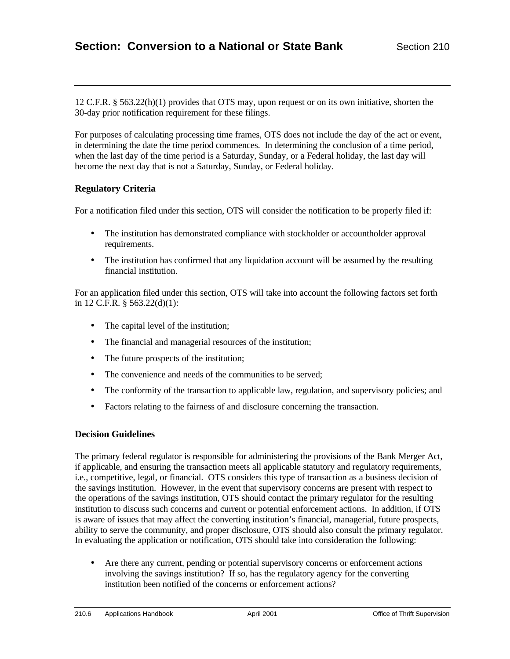12 C.F.R. § 563.22(h)(1) provides that OTS may, upon request or on its own initiative, shorten the 30-day prior notification requirement for these filings.

For purposes of calculating processing time frames, OTS does not include the day of the act or event, in determining the date the time period commences. In determining the conclusion of a time period, when the last day of the time period is a Saturday, Sunday, or a Federal holiday, the last day will become the next day that is not a Saturday, Sunday, or Federal holiday.

# **Regulatory Criteria**

For a notification filed under this section, OTS will consider the notification to be properly filed if:

- The institution has demonstrated compliance with stockholder or accountholder approval requirements.
- The institution has confirmed that any liquidation account will be assumed by the resulting financial institution.

For an application filed under this section, OTS will take into account the following factors set forth in 12 C.F.R. § 563.22(d)(1):

- The capital level of the institution;
- The financial and managerial resources of the institution;
- The future prospects of the institution;
- The convenience and needs of the communities to be served;
- The conformity of the transaction to applicable law, regulation, and supervisory policies; and
- Factors relating to the fairness of and disclosure concerning the transaction.

### **Decision Guidelines**

The primary federal regulator is responsible for administering the provisions of the Bank Merger Act, if applicable, and ensuring the transaction meets all applicable statutory and regulatory requirements, i.e., competitive, legal, or financial. OTS considers this type of transaction as a business decision of the savings institution. However, in the event that supervisory concerns are present with respect to the operations of the savings institution, OTS should contact the primary regulator for the resulting institution to discuss such concerns and current or potential enforcement actions. In addition, if OTS is aware of issues that may affect the converting institution's financial, managerial, future prospects, ability to serve the community, and proper disclosure, OTS should also consult the primary regulator. In evaluating the application or notification, OTS should take into consideration the following:

• Are there any current, pending or potential supervisory concerns or enforcement actions involving the savings institution? If so, has the regulatory agency for the converting institution been notified of the concerns or enforcement actions?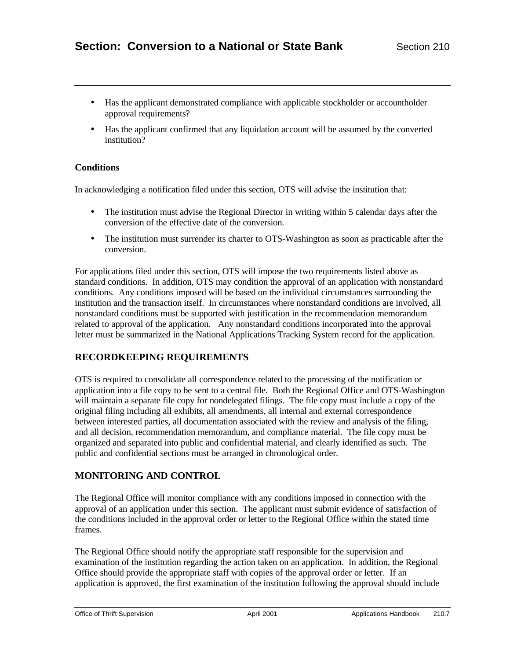- Has the applicant demonstrated compliance with applicable stockholder or accountholder approval requirements?
- Has the applicant confirmed that any liquidation account will be assumed by the converted institution?

### **Conditions**

In acknowledging a notification filed under this section, OTS will advise the institution that:

- The institution must advise the Regional Director in writing within 5 calendar days after the conversion of the effective date of the conversion.
- The institution must surrender its charter to OTS-Washington as soon as practicable after the conversion.

For applications filed under this section, OTS will impose the two requirements listed above as standard conditions. In addition, OTS may condition the approval of an application with nonstandard conditions. Any conditions imposed will be based on the individual circumstances surrounding the institution and the transaction itself. In circumstances where nonstandard conditions are involved, all nonstandard conditions must be supported with justification in the recommendation memorandum related to approval of the application. Any nonstandard conditions incorporated into the approval letter must be summarized in the National Applications Tracking System record for the application.

# **RECORDKEEPING REQUIREMENTS**

OTS is required to consolidate all correspondence related to the processing of the notification or application into a file copy to be sent to a central file. Both the Regional Office and OTS-Washington will maintain a separate file copy for nondelegated filings. The file copy must include a copy of the original filing including all exhibits, all amendments, all internal and external correspondence between interested parties, all documentation associated with the review and analysis of the filing, and all decision, recommendation memorandum, and compliance material. The file copy must be organized and separated into public and confidential material, and clearly identified as such. The public and confidential sections must be arranged in chronological order.

# **MONITORING AND CONTROL**

The Regional Office will monitor compliance with any conditions imposed in connection with the approval of an application under this section. The applicant must submit evidence of satisfaction of the conditions included in the approval order or letter to the Regional Office within the stated time frames.

The Regional Office should notify the appropriate staff responsible for the supervision and examination of the institution regarding the action taken on an application. In addition, the Regional Office should provide the appropriate staff with copies of the approval order or letter. If an application is approved, the first examination of the institution following the approval should include